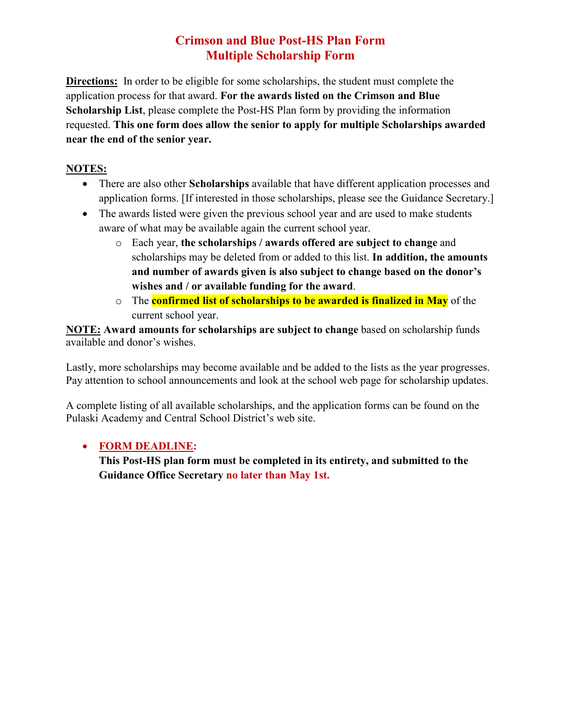## **Crimson and Blue Post-HS Plan Form Multiple Scholarship Form**

**Directions:** In order to be eligible for some scholarships, the student must complete the application process for that award. **For the awards listed on the Crimson and Blue Scholarship List**, please complete the Post-HS Plan form by providing the information requested. **This one form does allow the senior to apply for multiple Scholarships awarded near the end of the senior year.**

## **NOTES:**

- There are also other **Scholarships** available that have different application processes and application forms. [If interested in those scholarships, please see the Guidance Secretary.]
- The awards listed were given the previous school year and are used to make students aware of what may be available again the current school year.
	- o Each year, **the scholarships / awards offered are subject to change** and scholarships may be deleted from or added to this list. **In addition, the amounts and number of awards given is also subject to change based on the donor's wishes and / or available funding for the award**.
	- o The **confirmed list of scholarships to be awarded is finalized in May** of the current school year.

**NOTE: Award amounts for scholarships are subject to change** based on scholarship funds available and donor's wishes.

Lastly, more scholarships may become available and be added to the lists as the year progresses. Pay attention to school announcements and look at the school web page for scholarship updates.

A complete listing of all available scholarships, and the application forms can be found on the Pulaski Academy and Central School District's web site.

## • **FORM DEADLINE:**

**This Post-HS plan form must be completed in its entirety, and submitted to the Guidance Office Secretary no later than May 1st.**